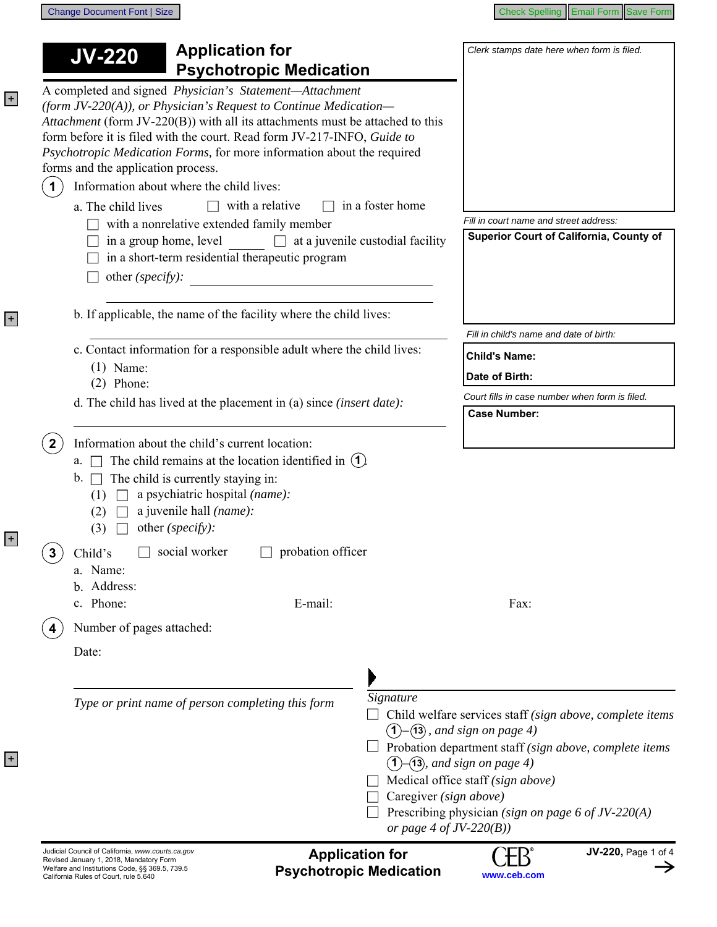| Change Document Font   Size |
|-----------------------------|
|-----------------------------|

+

+

+

| <b>JV-220</b>                                                                                                                                                                                                                                                                                                                                                                                           | <b>Application for</b>                                                                       |                                         | Clerk stamps date here when form is filed.                                                                                                                                                                                                                                                                                              |  |
|---------------------------------------------------------------------------------------------------------------------------------------------------------------------------------------------------------------------------------------------------------------------------------------------------------------------------------------------------------------------------------------------------------|----------------------------------------------------------------------------------------------|-----------------------------------------|-----------------------------------------------------------------------------------------------------------------------------------------------------------------------------------------------------------------------------------------------------------------------------------------------------------------------------------------|--|
|                                                                                                                                                                                                                                                                                                                                                                                                         | <b>Psychotropic Medication</b>                                                               |                                         |                                                                                                                                                                                                                                                                                                                                         |  |
| A completed and signed Physician's Statement-Attachment<br>(form JV-220(A)), or Physician's Request to Continue Medication-<br>Attachment (form JV-220(B)) with all its attachments must be attached to this<br>form before it is filed with the court. Read form JV-217-INFO, Guide to<br>Psychotropic Medication Forms, for more information about the required<br>forms and the application process. |                                                                                              |                                         |                                                                                                                                                                                                                                                                                                                                         |  |
| Information about where the child lives:<br>$\blacktriangleleft$                                                                                                                                                                                                                                                                                                                                        |                                                                                              |                                         |                                                                                                                                                                                                                                                                                                                                         |  |
| a. The child lives                                                                                                                                                                                                                                                                                                                                                                                      | with a relative<br>$\Box$                                                                    | in a foster home                        |                                                                                                                                                                                                                                                                                                                                         |  |
| in a group home, level<br>other (specify):                                                                                                                                                                                                                                                                                                                                                              | with a nonrelative extended family member<br>in a short-term residential therapeutic program | $\Box$ at a juvenile custodial facility | Fill in court name and street address:<br>Superior Court of California, County of                                                                                                                                                                                                                                                       |  |
|                                                                                                                                                                                                                                                                                                                                                                                                         | b. If applicable, the name of the facility where the child lives:                            |                                         |                                                                                                                                                                                                                                                                                                                                         |  |
|                                                                                                                                                                                                                                                                                                                                                                                                         | c. Contact information for a responsible adult where the child lives:                        |                                         | Fill in child's name and date of birth:                                                                                                                                                                                                                                                                                                 |  |
| $(1)$ Name:                                                                                                                                                                                                                                                                                                                                                                                             |                                                                                              |                                         | <b>Child's Name:</b>                                                                                                                                                                                                                                                                                                                    |  |
| $(2)$ Phone:                                                                                                                                                                                                                                                                                                                                                                                            |                                                                                              |                                         | Date of Birth:                                                                                                                                                                                                                                                                                                                          |  |
|                                                                                                                                                                                                                                                                                                                                                                                                         | d. The child has lived at the placement in (a) since <i>(insert date)</i> :                  |                                         | Court fills in case number when form is filed.<br><b>Case Number:</b>                                                                                                                                                                                                                                                                   |  |
| $\Box$ The child is currently staying in:<br>b.<br>(1)<br>a juvenile hall (name):<br>(2)<br>other (specify):<br>(3)                                                                                                                                                                                                                                                                                     | a psychiatric hospital (name):                                                               |                                         |                                                                                                                                                                                                                                                                                                                                         |  |
| social worker<br>Child's<br>3<br>a. Name:<br>b. Address:                                                                                                                                                                                                                                                                                                                                                | probation officer                                                                            |                                         |                                                                                                                                                                                                                                                                                                                                         |  |
| c. Phone:                                                                                                                                                                                                                                                                                                                                                                                               | E-mail:                                                                                      |                                         | Fax:                                                                                                                                                                                                                                                                                                                                    |  |
| Number of pages attached:                                                                                                                                                                                                                                                                                                                                                                               |                                                                                              |                                         |                                                                                                                                                                                                                                                                                                                                         |  |
| Date:                                                                                                                                                                                                                                                                                                                                                                                                   |                                                                                              |                                         |                                                                                                                                                                                                                                                                                                                                         |  |
|                                                                                                                                                                                                                                                                                                                                                                                                         | Type or print name of person completing this form                                            | Signature<br>(1)                        | Child welfare services staff (sign above, complete items<br>$-(13)$ , and sign on page 4)<br>Probation department staff (sign above, complete items<br>$-$ (13), and sign on page 4)<br>Medical office staff (sign above)<br>Caregiver (sign above)<br>Prescribing physician (sign on page 6 of JV-220(A)<br>or page 4 of $JV$ -220(B)) |  |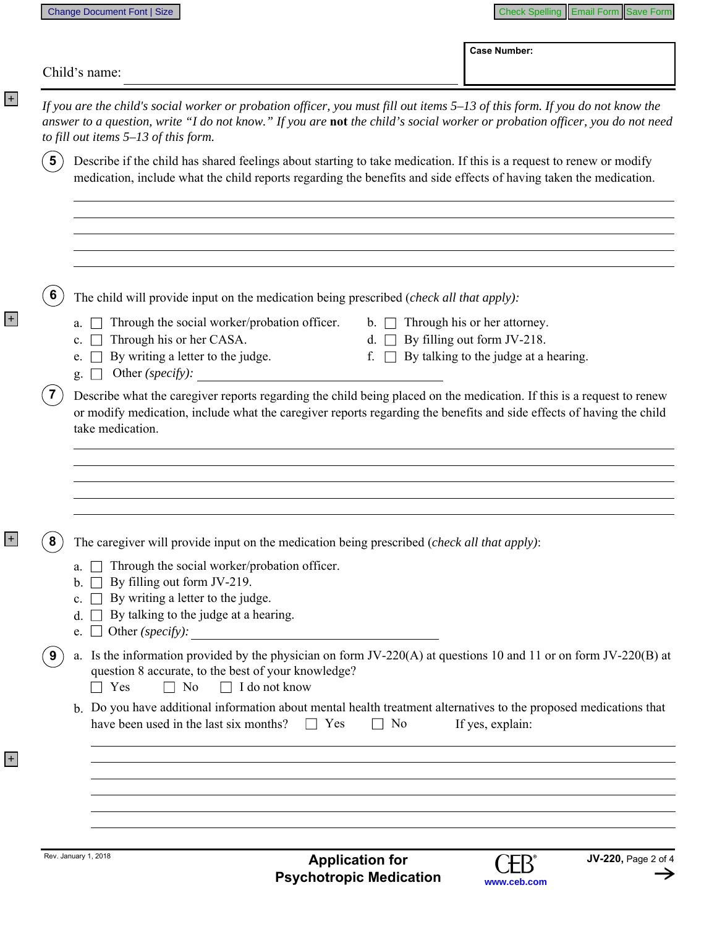+

+

+

| to fill out items 5-13 of this form.<br>The child will provide input on the medication being prescribed (check all that apply):<br>Through the social worker/probation officer.<br>Through his or her CASA.<br>By writing a letter to the judge.<br>Other (specify): | If you are the child's social worker or probation officer, you must fill out items 5-13 of this form. If you do not know the<br>answer to a question, write "I do not know." If you are not the child's social worker or probation officer, you do not need<br>Describe if the child has shared feelings about starting to take medication. If this is a request to renew or modify<br>medication, include what the child reports regarding the benefits and side effects of having taken the medication.<br>Through his or her attorney.<br>$\mathbf{b}$ .<br>By filling out form JV-218.<br>d.<br>By talking to the judge at a hearing.<br>f. |
|----------------------------------------------------------------------------------------------------------------------------------------------------------------------------------------------------------------------------------------------------------------------|-------------------------------------------------------------------------------------------------------------------------------------------------------------------------------------------------------------------------------------------------------------------------------------------------------------------------------------------------------------------------------------------------------------------------------------------------------------------------------------------------------------------------------------------------------------------------------------------------------------------------------------------------|
|                                                                                                                                                                                                                                                                      |                                                                                                                                                                                                                                                                                                                                                                                                                                                                                                                                                                                                                                                 |
|                                                                                                                                                                                                                                                                      |                                                                                                                                                                                                                                                                                                                                                                                                                                                                                                                                                                                                                                                 |
|                                                                                                                                                                                                                                                                      |                                                                                                                                                                                                                                                                                                                                                                                                                                                                                                                                                                                                                                                 |
|                                                                                                                                                                                                                                                                      |                                                                                                                                                                                                                                                                                                                                                                                                                                                                                                                                                                                                                                                 |
|                                                                                                                                                                                                                                                                      |                                                                                                                                                                                                                                                                                                                                                                                                                                                                                                                                                                                                                                                 |
| take medication.                                                                                                                                                                                                                                                     | Describe what the caregiver reports regarding the child being placed on the medication. If this is a request to renew<br>or modify medication, include what the caregiver reports regarding the benefits and side effects of having the child                                                                                                                                                                                                                                                                                                                                                                                                   |
| The caregiver will provide input on the medication being prescribed ( <i>check all that apply</i> ):                                                                                                                                                                 |                                                                                                                                                                                                                                                                                                                                                                                                                                                                                                                                                                                                                                                 |
| By filling out form JV-219.<br>$\mathbf{b}$ . $\Box$<br>By writing a letter to the judge.<br>By talking to the judge at a hearing.<br>e. $\Box$                                                                                                                      |                                                                                                                                                                                                                                                                                                                                                                                                                                                                                                                                                                                                                                                 |
| question 8 accurate, to the best of your knowledge?<br>$\Box$ I do not know<br>$\Box$ No<br>$\Box$ Yes                                                                                                                                                               | a. Is the information provided by the physician on form $JV-220(A)$ at questions 10 and 11 or on form $JV-220(B)$ at                                                                                                                                                                                                                                                                                                                                                                                                                                                                                                                            |
| have been used in the last six months?<br>$\Box$ Yes                                                                                                                                                                                                                 | b. Do you have additional information about mental health treatment alternatives to the proposed medications that<br>If yes, explain:<br>No                                                                                                                                                                                                                                                                                                                                                                                                                                                                                                     |
|                                                                                                                                                                                                                                                                      |                                                                                                                                                                                                                                                                                                                                                                                                                                                                                                                                                                                                                                                 |
|                                                                                                                                                                                                                                                                      |                                                                                                                                                                                                                                                                                                                                                                                                                                                                                                                                                                                                                                                 |
|                                                                                                                                                                                                                                                                      | Through the social worker/probation officer.<br>Rev. January 1, 2018<br><b>Application for</b><br><b>Psychotropic Medication</b>                                                                                                                                                                                                                                                                                                                                                                                                                                                                                                                |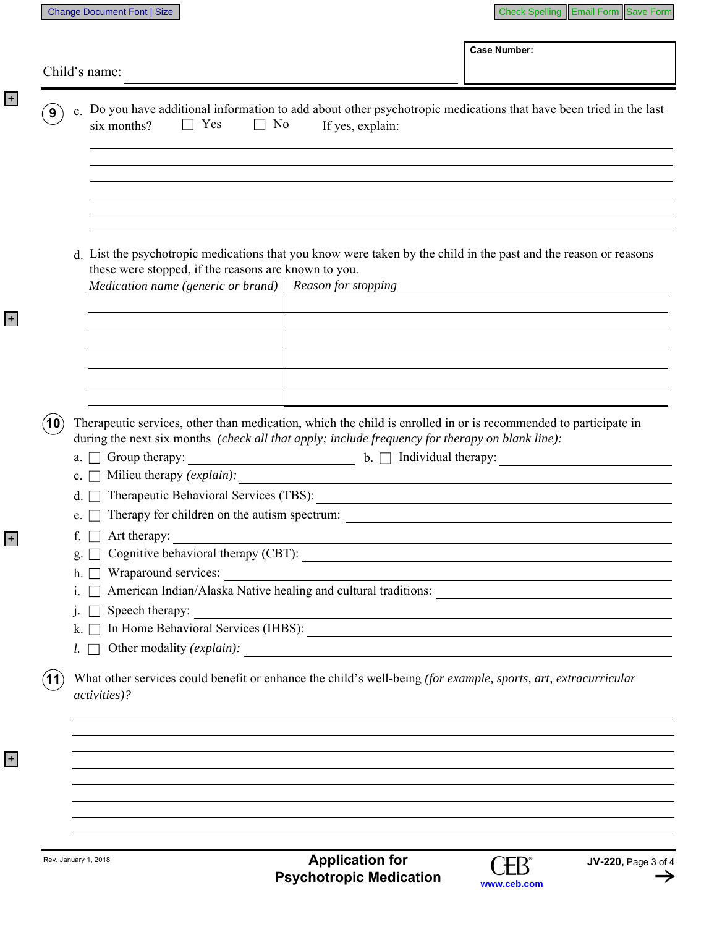|                |                                                                                                                                                                           | Child's name:                                                                                                                                                                                                       |                                                                                                                      |  |  |
|----------------|---------------------------------------------------------------------------------------------------------------------------------------------------------------------------|---------------------------------------------------------------------------------------------------------------------------------------------------------------------------------------------------------------------|----------------------------------------------------------------------------------------------------------------------|--|--|
| ່9ົ            | c. Do you have additional information to add about other psychotropic medications that have been tried in the last<br>$\Box$ Yes<br>six months?<br>No<br>If yes, explain: |                                                                                                                                                                                                                     |                                                                                                                      |  |  |
|                |                                                                                                                                                                           |                                                                                                                                                                                                                     |                                                                                                                      |  |  |
|                |                                                                                                                                                                           |                                                                                                                                                                                                                     |                                                                                                                      |  |  |
|                |                                                                                                                                                                           | d. List the psychotropic medications that you know were taken by the child in the past and the reason or reasons<br>these were stopped, if the reasons are known to you.                                            |                                                                                                                      |  |  |
|                |                                                                                                                                                                           | Reason for stopping<br>Medication name (generic or brand)                                                                                                                                                           |                                                                                                                      |  |  |
|                |                                                                                                                                                                           |                                                                                                                                                                                                                     |                                                                                                                      |  |  |
|                |                                                                                                                                                                           |                                                                                                                                                                                                                     |                                                                                                                      |  |  |
| (10)           |                                                                                                                                                                           | The rapeutic services, other than medication, which the child is enrolled in or is recommended to participate in<br>during the next six months (check all that apply; include frequency for therapy on blank line): |                                                                                                                      |  |  |
|                | a.<br>$\mathbf{c}$ .                                                                                                                                                      | Group therapy:<br>$\bullet$ $\Box$ Individual therapy:<br>Milieu therapy (explain):                                                                                                                                 | <u> 1980 - Andrea Stadt Britain, marwolaeth a bhliain 1980 - An t-An Aonaichte ann an t-An Aonaichte ann an t-An</u> |  |  |
|                | d.<br>$e_{\cdot}$                                                                                                                                                         | Therapeutic Behavioral Services (TBS):<br>Therapy for children on the autism spectrum:                                                                                                                              |                                                                                                                      |  |  |
|                | f.<br>g.                                                                                                                                                                  | Art therapy:                                                                                                                                                                                                        | and the control of the control of the control of the control of the control of the control of the control of the     |  |  |
|                | h.<br>1.                                                                                                                                                                  | Wraparound services:                                                                                                                                                                                                | <u> 1980 - John Stein, Amerikaansk politiker (* 1950)</u>                                                            |  |  |
|                | $k.$ $\Box$                                                                                                                                                               | Speech therapy:                                                                                                                                                                                                     |                                                                                                                      |  |  |
|                | $l. \Box$                                                                                                                                                                 |                                                                                                                                                                                                                     |                                                                                                                      |  |  |
| $^{\prime}$ 11 |                                                                                                                                                                           | What other services could benefit or enhance the child's well-being (for example, sports, art, extracurricular<br><i>activities</i> )?                                                                              |                                                                                                                      |  |  |
|                |                                                                                                                                                                           |                                                                                                                                                                                                                     |                                                                                                                      |  |  |
|                |                                                                                                                                                                           |                                                                                                                                                                                                                     |                                                                                                                      |  |  |
|                |                                                                                                                                                                           |                                                                                                                                                                                                                     |                                                                                                                      |  |  |

+

+

+